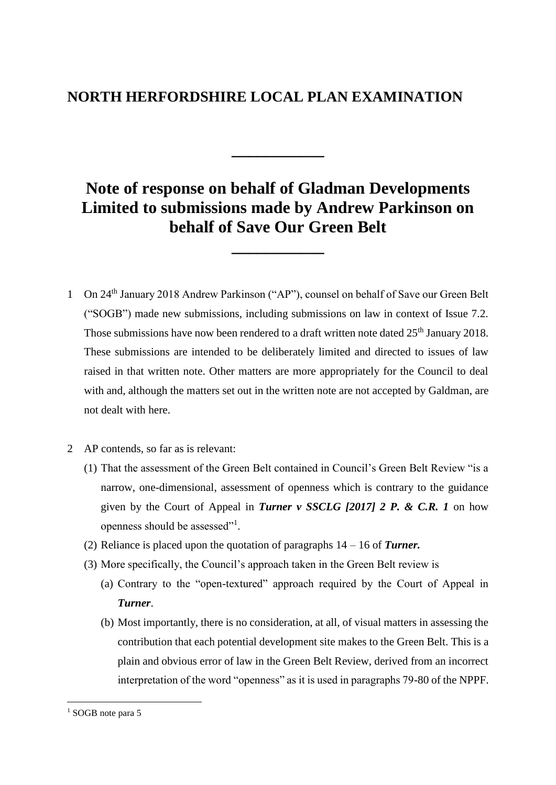## **NORTH HERFORDSHIRE LOCAL PLAN EXAMINATION**

## **Note of response on behalf of Gladman Developments Limited to submissions made by Andrew Parkinson on behalf of Save Our Green Belt**

**\_\_\_\_\_\_\_\_\_\_\_**

**\_\_\_\_\_\_\_\_\_\_\_**

- 1 On 24<sup>th</sup> January 2018 Andrew Parkinson ("AP"), counsel on behalf of Save our Green Belt ("SOGB") made new submissions, including submissions on law in context of Issue 7.2. Those submissions have now been rendered to a draft written note dated 25<sup>th</sup> January 2018. These submissions are intended to be deliberately limited and directed to issues of law raised in that written note. Other matters are more appropriately for the Council to deal with and, although the matters set out in the written note are not accepted by Galdman, are not dealt with here.
- 2 AP contends, so far as is relevant:
	- (1) That the assessment of the Green Belt contained in Council's Green Belt Review "is a narrow, one-dimensional, assessment of openness which is contrary to the guidance given by the Court of Appeal in *Turner v SSCLG [2017] 2 P. & C.R. 1* on how openness should be assessed"<sup>1</sup>.
	- (2) Reliance is placed upon the quotation of paragraphs 14 16 of *Turner.*
	- (3) More specifically, the Council's approach taken in the Green Belt review is
		- (a) Contrary to the "open-textured" approach required by the Court of Appeal in *Turner*.
		- (b) Most importantly, there is no consideration, at all, of visual matters in assessing the contribution that each potential development site makes to the Green Belt. This is a plain and obvious error of law in the Green Belt Review, derived from an incorrect interpretation of the word "openness" as it is used in paragraphs 79-80 of the NPPF.

**.** 

<sup>&</sup>lt;sup>1</sup> SOGB note para 5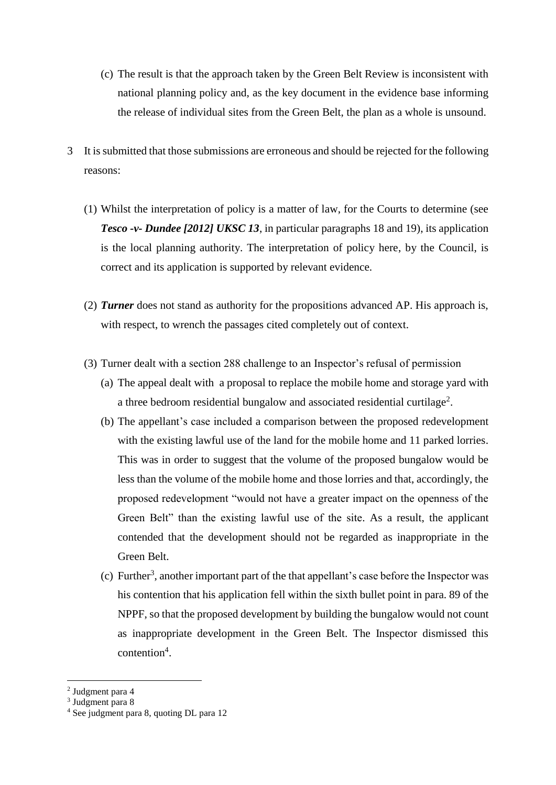- (c) The result is that the approach taken by the Green Belt Review is inconsistent with national planning policy and, as the key document in the evidence base informing the release of individual sites from the Green Belt, the plan as a whole is unsound.
- 3 It is submitted that those submissions are erroneous and should be rejected for the following reasons:
	- (1) Whilst the interpretation of policy is a matter of law, for the Courts to determine (see *Tesco -v- Dundee [2012] UKSC 13*, in particular paragraphs 18 and 19), its application is the local planning authority. The interpretation of policy here, by the Council, is correct and its application is supported by relevant evidence.
	- (2) *Turner* does not stand as authority for the propositions advanced AP. His approach is, with respect, to wrench the passages cited completely out of context.
	- (3) Turner dealt with a section 288 challenge to an Inspector's refusal of permission
		- (a) The appeal dealt with a proposal to replace the mobile home and storage yard with a three bedroom residential bungalow and associated residential curtilage<sup>2</sup>.
		- (b) The appellant's case included a comparison between the proposed redevelopment with the existing lawful use of the land for the mobile home and 11 parked lorries. This was in order to suggest that the volume of the proposed bungalow would be less than the volume of the mobile home and those lorries and that, accordingly, the proposed redevelopment "would not have a greater impact on the openness of the Green Belt" than the existing lawful use of the site. As a result, the applicant contended that the development should not be regarded as inappropriate in the Green Belt.
		- $(c)$  Further<sup>3</sup>, another important part of the that appellant's case before the Inspector was his contention that his application fell within the sixth bullet point in para. 89 of the NPPF, so that the proposed development by building the bungalow would not count as inappropriate development in the Green Belt. The Inspector dismissed this contention<sup>4</sup>.

 $\overline{a}$ 

<sup>2</sup> Judgment para 4

<sup>&</sup>lt;sup>3</sup> Judgment para 8

<sup>4</sup> See judgment para 8, quoting DL para 12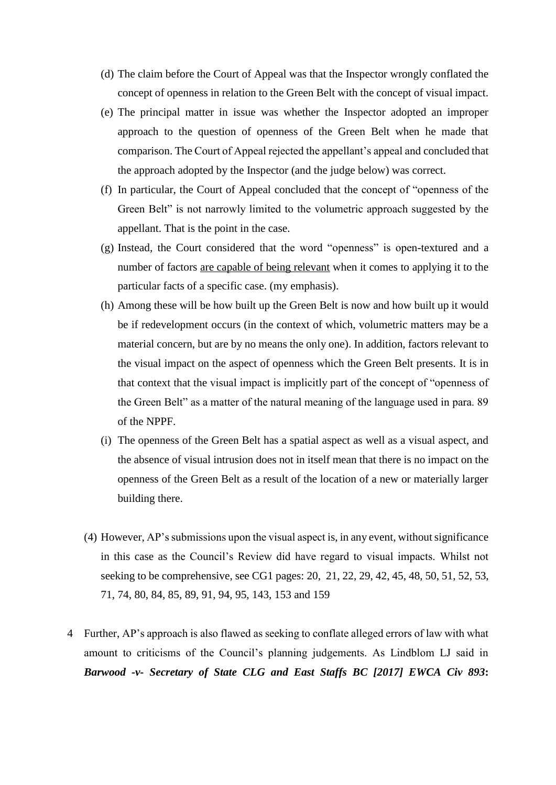- (d) The claim before the Court of Appeal was that the Inspector wrongly conflated the concept of openness in relation to the Green Belt with the concept of visual impact.
- (e) The principal matter in issue was whether the Inspector adopted an improper approach to the question of openness of the Green Belt when he made that comparison. The Court of Appeal rejected the appellant's appeal and concluded that the approach adopted by the Inspector (and the judge below) was correct.
- (f) In particular, the Court of Appeal concluded that the concept of "openness of the Green Belt" is not narrowly limited to the volumetric approach suggested by the appellant. That is the point in the case.
- (g) Instead, the Court considered that the word "openness" is open-textured and a number of factors are capable of being relevant when it comes to applying it to the particular facts of a specific case. (my emphasis).
- (h) Among these will be how built up the Green Belt is now and how built up it would be if redevelopment occurs (in the context of which, volumetric matters may be a material concern, but are by no means the only one). In addition, factors relevant to the visual impact on the aspect of openness which the Green Belt presents. It is in that context that the visual impact is implicitly part of the concept of "openness of the Green Belt" as a matter of the natural meaning of the language used in para. 89 of the NPPF.
- (i) The openness of the Green Belt has a spatial aspect as well as a visual aspect, and the absence of visual intrusion does not in itself mean that there is no impact on the openness of the Green Belt as a result of the location of a new or materially larger building there.
- (4) However, AP's submissions upon the visual aspect is, in any event, without significance in this case as the Council's Review did have regard to visual impacts. Whilst not seeking to be comprehensive, see CG1 pages: 20, 21, 22, 29, 42, 45, 48, 50, 51, 52, 53, 71, 74, 80, 84, 85, 89, 91, 94, 95, 143, 153 and 159
- 4 Further, AP's approach is also flawed as seeking to conflate alleged errors of law with what amount to criticisms of the Council's planning judgements. As Lindblom LJ said in *Barwood -v- Secretary of State CLG and East Staffs BC [2017] EWCA Civ 893***:**